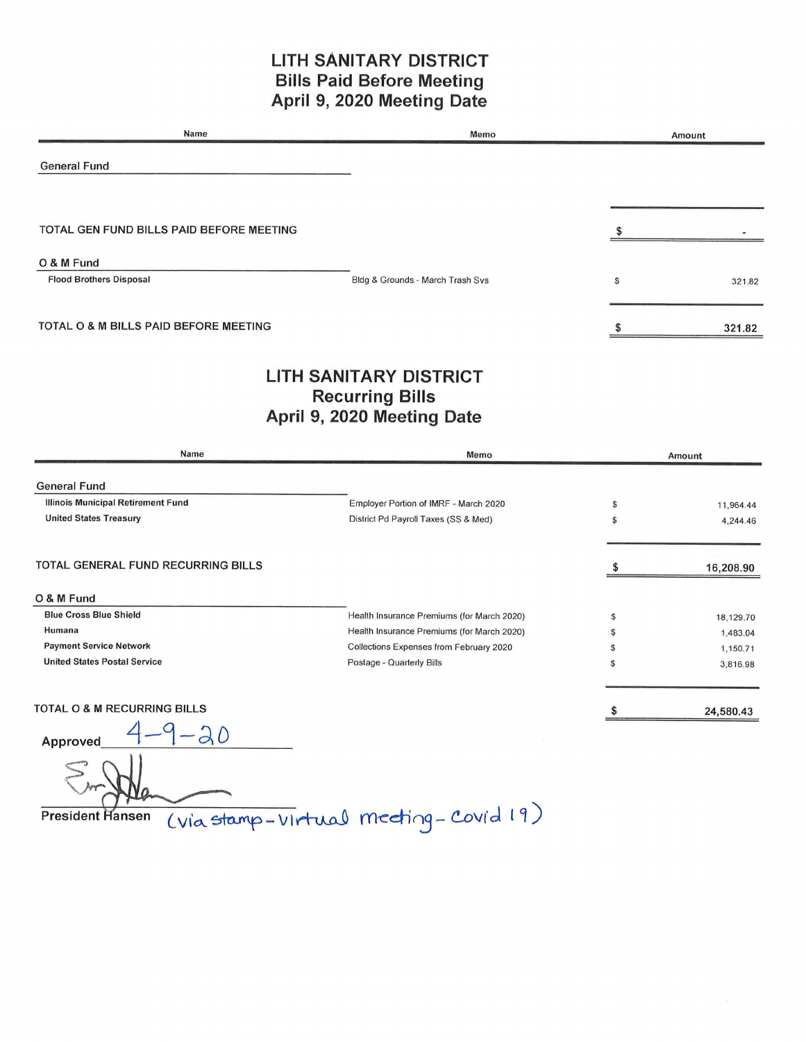### LITH SANITARY DISTRICT Bills Paid Before Meeting April 9, 2020 Meeting Date

| Name                                         | Memo                             | Amount       |
|----------------------------------------------|----------------------------------|--------------|
| <b>General Fund</b>                          |                                  |              |
| TOTAL GEN FUND BILLS PAID BEFORE MEETING     |                                  |              |
| O & M Fund<br><b>Flood Brothers Disposal</b> | Bldg & Grounds - March Trash Svs | \$<br>321.82 |
| TOTAL O & M BILLS PAID BEFORE MEETING        |                                  | 321.82       |
|                                              | LITH SANITARY DISTRICT           |              |

# LITH SANITARY DISTRICT Recurring Bills April 9, 2020 Meeting Date

| Name                                   | Memo                                       | Amount |           |
|----------------------------------------|--------------------------------------------|--------|-----------|
| <b>General Fund</b>                    |                                            |        |           |
| Illinois Municipal Retirement Fund     | Employer Portion of IMRF - March 2020      |        | 11,964.44 |
| <b>United States Treasury</b>          | District Pd Payroll Taxes (SS & Med)       | \$     | 4,244.46  |
| TOTAL GENERAL FUND RECURRING BILLS     |                                            |        | 16,208.90 |
| O & M Fund                             |                                            |        |           |
| <b>Blue Cross Blue Shield</b>          | Health Insurance Premiums (for March 2020) | \$     | 18,129.70 |
| Humana                                 | Health Insurance Premiums (for March 2020) |        | 1,483.04  |
| <b>Payment Service Network</b>         | Collections Expenses from February 2020    |        | 1,150.71  |
| <b>United States Postal Service</b>    | Postage - Quarterly Bills                  | S      | 3,816.98  |
| <b>TOTAL O &amp; M RECURRING BILLS</b> |                                            |        | 24,580.43 |
| a<br>Δ<br>$\bigcap$                    |                                            |        |           |

Approved  $4 - (-\alpha)$ 

President Hansen (via stamp - virtual mecting - Covid 19,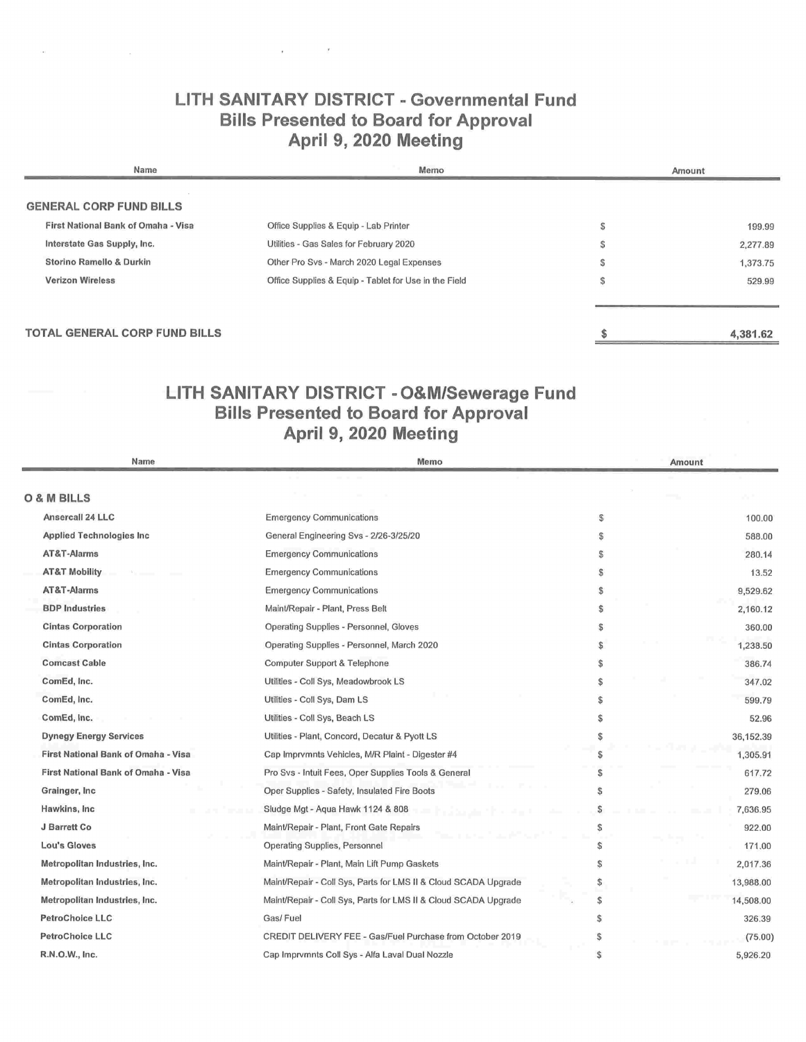# LITH SANITARY DISTRICT - Governmental Fund Bills Presented to Board for Approval April 9, 2020 Meeting

**Contract Contract** 

÷.

| Name                                | Memo                                                  | Amount |          |
|-------------------------------------|-------------------------------------------------------|--------|----------|
| <b>GENERAL CORP FUND BILLS</b>      |                                                       |        |          |
| First National Bank of Omaha - Visa | Office Supplies & Equip - Lab Printer                 | ъĐ     | 199.99   |
| Interstate Gas Supply, Inc.         | Utilities - Gas Sales for February 2020               |        | 2,277.89 |
| Storino Ramello & Durkin            | Other Pro Svs - March 2020 Legal Expenses             | э      | 1,373.75 |
| <b>Verizon Wireless</b>             | Office Supplies & Equip - Tablet for Use in the Field | Ð      | 529.99   |
|                                     |                                                       |        |          |
| TOTAL GENERAL CORP FUND BILLS       |                                                       |        | 4,381.62 |

# LITH SANITARY DISTRICT - O&M/Sewerage Fund Bills Presented to Board for Approval April 9, 2020 Meeting

| Name                                | Memo                                                            |     | Amount    |
|-------------------------------------|-----------------------------------------------------------------|-----|-----------|
|                                     |                                                                 |     |           |
| O & M BILLS                         |                                                                 |     |           |
| Ansercall 24 LLC                    | <b>Emergency Communications</b>                                 | S   | 100.00    |
| <b>Applied Technologies Inc</b>     | General Engineering Svs - 2/26-3/25/20                          | \$  | 588.00    |
| AT&T-Alarms                         | <b>Emergency Communications</b>                                 | \$  | 280.14    |
| <b>AT&amp;T Mobility</b>            | <b>Emergency Communications</b>                                 | S   | 13.52     |
| AT&T-Alarms                         | <b>Emergency Communications</b>                                 | \$  | 9,529.62  |
| <b>BDP</b> Industries               | Maint/Repair - Plant, Press Belt                                | \$  | 2,160.12  |
| <b>Cintas Corporation</b>           | Operating Supplies - Personnel, Gloves                          | S   | 360.00    |
| <b>Cintas Corporation</b>           | Operating Supplies - Personnel, March 2020                      |     | 1,238.50  |
| <b>Comcast Cable</b>                | Computer Support & Telephone                                    |     | 386.74    |
| ComEd, Inc.                         | Utilities - Coll Sys, Meadowbrook LS                            |     | 347.02    |
| ComEd, Inc.                         | Utilities - Coll Sys, Dam LS                                    |     | 599.79    |
| ComEd, Inc.                         | Utilities - Coll Sys, Beach LS                                  |     | 52.96     |
| <b>Dynegy Energy Services</b>       | Utilities - Plant, Concord, Decatur & Pyott LS                  |     | 36,152.39 |
| First National Bank of Omaha - Visa | Cap Imprvmnts Vehicles, M/R Plaint - Digester #4                |     | 1,305.91  |
| First National Bank of Omaha - Visa | Pro Svs - Intuit Fees, Oper Supplies Tools & General            |     | 617.72    |
| Grainger, Inc.                      | Oper Supplies - Safety, Insulated Fire Boots                    |     | 279.06    |
| Hawkins, Inc.                       | Sludge Mgt - Aqua Hawk 1124 & 808                               |     | 7,636.95  |
| J Barrett Co                        | Maint/Repair - Plant, Front Gate Repairs                        |     | 922.00    |
| Lou's Gloves                        | Operating Supplies, Personnel                                   |     | 171.00    |
| Metropolitan Industries, Inc.       | Maint/Repair - Plant, Main Lift Pump Gaskets                    |     | 2,017.36  |
| Metropolitan Industries, Inc.       | Maint/Repair - Coll Sys, Parts for LMS II & Cloud SCADA Upgrade | S   | 13,988.00 |
| Metropolitan Industries, Inc.       | Maint/Repair - Coll Sys, Parts for LMS II & Cloud SCADA Upgrade | \$  | 14,508.00 |
| <b>PetroChoice LLC</b>              | Gas/Fuel                                                        |     | 326.39    |
| <b>PetroChoice LLC</b>              | CREDIT DELIVERY FEE - Gas/Fuel Purchase from October 2019       | S   | (75.00)   |
| R.N.O.W., Inc.                      | Cap Imprvmnts Coll Sys - Alfa Laval Dual Nozzle                 | \$. | 5,926.20  |
|                                     |                                                                 |     |           |